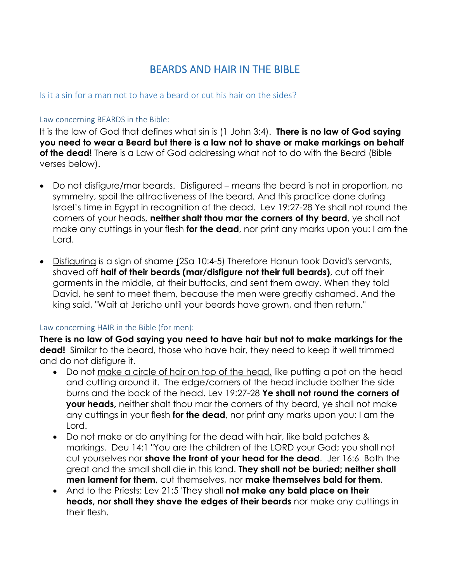## BEARDS AND HAIR IN THE BIBLE

## Is it a sin for a man not to have a beard or cut his hair on the sides?

## Law concerning BEARDS in the Bible:

It is the law of God that defines what sin is (1 John 3:4). **There is no law of God saying you need to wear a Beard but there is a law not to shave or make markings on behalf of the dead!** There is a Law of God addressing what not to do with the Beard (Bible verses below).

- Do not disfigure/mar beards. Disfigured means the beard is not in proportion, no symmetry, spoil the attractiveness of the beard. And this practice done during Israel's time in Egypt in recognition of the dead. Lev 19:27-28 Ye shall not round the corners of your heads, **neither shalt thou mar the corners of thy beard**, ye shall not make any cuttings in your flesh **for the dead**, nor print any marks upon you: I am the Lord.
- Disfiguring is a sign of shame (2Sa 10:4-5) Therefore Hanun took David's servants, shaved off **half of their beards (mar/disfigure not their full beards)**, cut off their garments in the middle, at their buttocks, and sent them away. When they told David, he sent to meet them, because the men were greatly ashamed. And the king said, "Wait at Jericho until your beards have grown, and then return."

## Law concerning HAIR in the Bible (for men):

**There is no law of God saying you need to have hair but not to make markings for the dead!** Similar to the beard, those who have hair, they need to keep it well trimmed and do not disfigure it.

- Do not make a circle of hair on top of the head, like putting a pot on the head and cutting around it. The edge/corners of the head include bother the side burns and the back of the head. Lev 19:27-28 **Ye shall not round the corners of your heads,** neither shalt thou mar the corners of thy beard, ye shall not make any cuttings in your flesh **for the dead**, nor print any marks upon you: I am the Lord.
- Do not make or do anything for the dead with hair, like bald patches & markings. Deu 14:1 "You are the children of the LORD your God; you shall not cut yourselves nor **shave the front of your head for the dead**. Jer 16:6 Both the great and the small shall die in this land. **They shall not be buried; neither shall men lament for them**, cut themselves, nor **make themselves bald for them**.
- And to the Priests: Lev 21:5 'They shall **not make any bald place on their heads, nor shall they shave the edges of their beards** nor make any cuttings in their flesh.